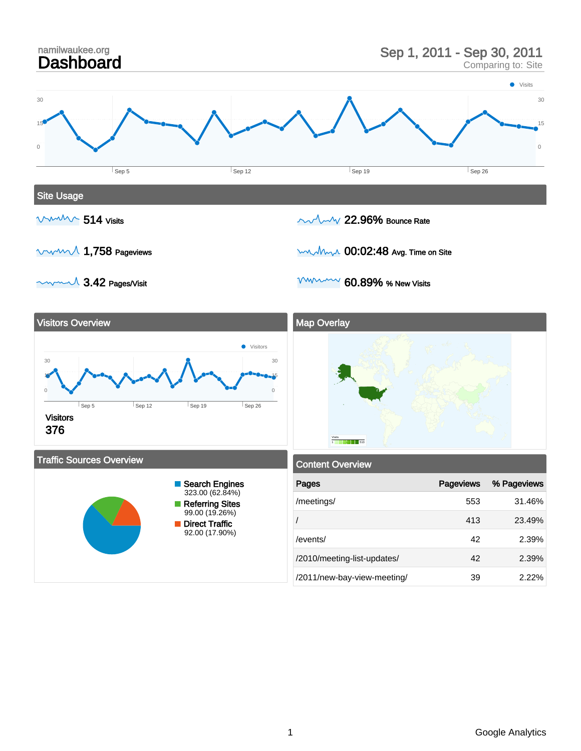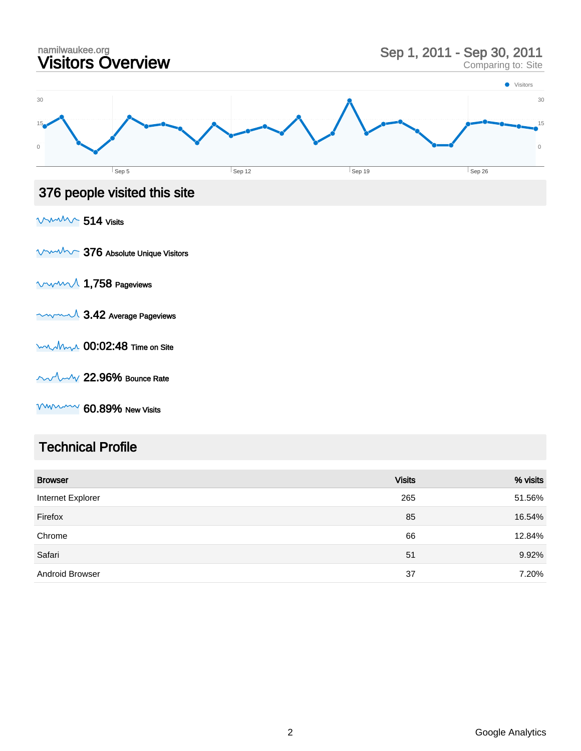

#### Technical Profile

| <b>Browser</b>         | <b>Visits</b> | % visits |
|------------------------|---------------|----------|
| Internet Explorer      | 265           | 51.56%   |
| Firefox                | 85            | 16.54%   |
| Chrome                 | 66            | 12.84%   |
| Safari                 | 51            | 9.92%    |
| <b>Android Browser</b> | 37            | 7.20%    |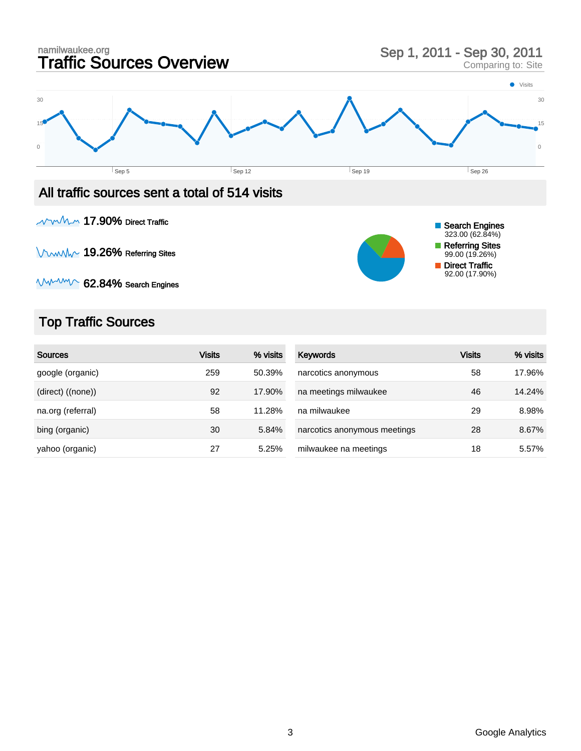

### All traffic sources sent a total of 514 visits

**NWMM 17.90% Direct Traffic** 

**VWWW 19.26% Referring Sites** 



## Top Traffic Sources

| <b>Sources</b>    | <b>Visits</b> | % visits | <b>Keywords</b>              | <b>Visits</b> | % visits |
|-------------------|---------------|----------|------------------------------|---------------|----------|
| google (organic)  | 259           | 50.39%   | narcotics anonymous          | 58            | 17.96%   |
| (direct) ((none)) | 92            | 17.90%   | na meetings milwaukee        | 46            | 14.24%   |
| na.org (referral) | 58            | 11.28%   | na milwaukee                 | 29            | 8.98%    |
| bing (organic)    | 30            | 5.84%    | narcotics anonymous meetings | 28            | 8.67%    |
| yahoo (organic)   | 27            | 5.25%    | milwaukee na meetings        | 18            | 5.57%    |

Search Engines 323.00 (62.84%) Referring Sites 99.00 (19.26%) Direct Traffic 92.00 (17.90%)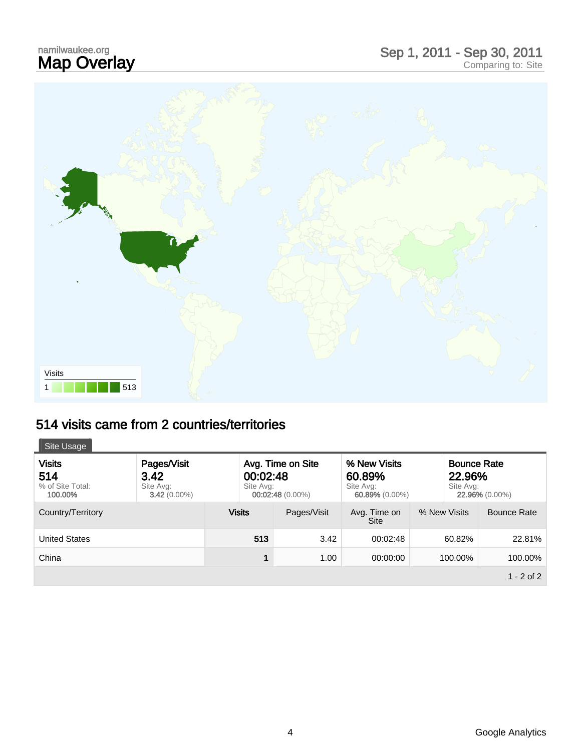# namilwaukee.org<br>**Map Overlay**



## 514 visits came from 2 countries/territories

| Site Usage                                          |                                                    |                                                                  |             |                                                       |              |                                                             |  |
|-----------------------------------------------------|----------------------------------------------------|------------------------------------------------------------------|-------------|-------------------------------------------------------|--------------|-------------------------------------------------------------|--|
| <b>Visits</b><br>514<br>% of Site Total:<br>100.00% | Pages/Visit<br>3.42<br>Site Avg:<br>$3.42(0.00\%)$ | Avg. Time on Site<br>00:02:48<br>Site Avg:<br>$00:02:48(0.00\%)$ |             | % New Visits<br>60.89%<br>Site Avg:<br>60.89% (0.00%) |              | <b>Bounce Rate</b><br>22.96%<br>Site Avg:<br>22.96% (0.00%) |  |
| Country/Territory                                   |                                                    | <b>Visits</b>                                                    | Pages/Visit | Avg. Time on<br><b>Site</b>                           | % New Visits | Bounce Rate                                                 |  |
| <b>United States</b>                                |                                                    | 513                                                              | 3.42        | 00:02:48                                              | 60.82%       | 22.81%                                                      |  |
| China                                               |                                                    | 1                                                                | 1.00        | 00:00:00                                              | 100.00%      | 100.00%                                                     |  |
|                                                     |                                                    |                                                                  |             |                                                       |              | $1 - 2$ of 2                                                |  |